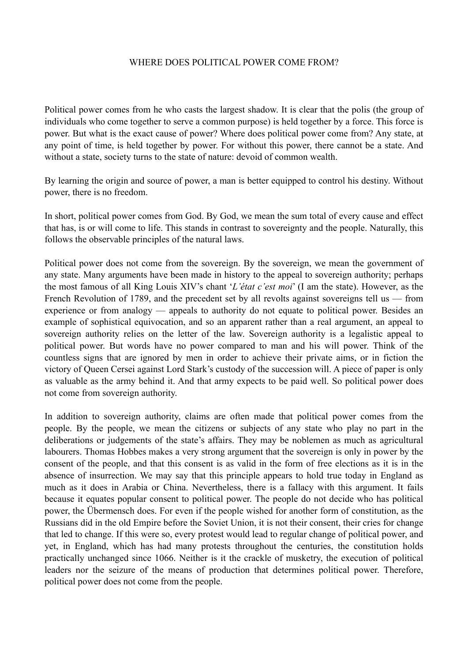## WHERE DOES POLITICAL POWER COME FROM?

Political power comes from he who casts the largest shadow. It is clear that the polis (the group of individuals who come together to serve a common purpose) is held together by a force. This force is power. But what is the exact cause of power? Where does political power come from? Any state, at any point of time, is held together by power. For without this power, there cannot be a state. And without a state, society turns to the state of nature: devoid of common wealth.

By learning the origin and source of power, a man is better equipped to control his destiny. Without power, there is no freedom.

In short, political power comes from God. By God, we mean the sum total of every cause and effect that has, is or will come to life. This stands in contrast to sovereignty and the people. Naturally, this follows the observable principles of the natural laws.

Political power does not come from the sovereign. By the sovereign, we mean the government of any state. Many arguments have been made in history to the appeal to sovereign authority; perhaps the most famous of all King Louis XIV's chant '*L'état c'est moi*' (I am the state). However, as the French Revolution of 1789, and the precedent set by all revolts against sovereigns tell us — from experience or from analogy — appeals to authority do not equate to political power. Besides an example of sophistical equivocation, and so an apparent rather than a real argument, an appeal to sovereign authority relies on the letter of the law. Sovereign authority is a legalistic appeal to political power. But words have no power compared to man and his will power. Think of the countless signs that are ignored by men in order to achieve their private aims, or in fiction the victory of Queen Cersei against Lord Stark's custody of the succession will. A piece of paper is only as valuable as the army behind it. And that army expects to be paid well. So political power does not come from sovereign authority.

In addition to sovereign authority, claims are often made that political power comes from the people. By the people, we mean the citizens or subjects of any state who play no part in the deliberations or judgements of the state's affairs. They may be noblemen as much as agricultural labourers. Thomas Hobbes makes a very strong argument that the sovereign is only in power by the consent of the people, and that this consent is as valid in the form of free elections as it is in the absence of insurrection. We may say that this principle appears to hold true today in England as much as it does in Arabia or China. Nevertheless, there is a fallacy with this argument. It fails because it equates popular consent to political power. The people do not decide who has political power, the Übermensch does. For even if the people wished for another form of constitution, as the Russians did in the old Empire before the Soviet Union, it is not their consent, their cries for change that led to change. If this were so, every protest would lead to regular change of political power, and yet, in England, which has had many protests throughout the centuries, the constitution holds practically unchanged since 1066. Neither is it the crackle of musketry, the execution of political leaders nor the seizure of the means of production that determines political power. Therefore, political power does not come from the people.